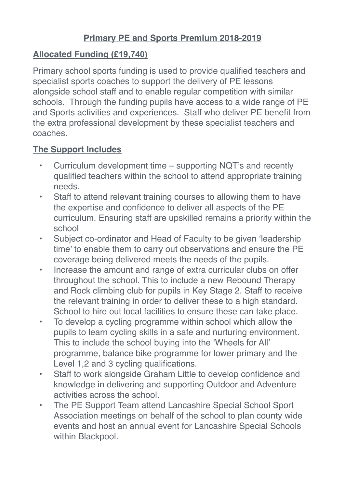## **Primary PE and Sports Premium 2018-2019**

## **Allocated Funding (£19,740)**

Primary school sports funding is used to provide qualified teachers and specialist sports coaches to support the delivery of PE lessons alongside school staff and to enable regular competition with similar schools. Through the funding pupils have access to a wide range of PE and Sports activities and experiences. Staff who deliver PE benefit from the extra professional development by these specialist teachers and coaches.

## **The Support Includes**

- Curriculum development time supporting NQT's and recently qualified teachers within the school to attend appropriate training needs.
- Staff to attend relevant training courses to allowing them to have the expertise and confidence to deliver all aspects of the PE curriculum. Ensuring staff are upskilled remains a priority within the school
- Subject co-ordinator and Head of Faculty to be given 'leadership time' to enable them to carry out observations and ensure the PE coverage being delivered meets the needs of the pupils.
- Increase the amount and range of extra curricular clubs on offer throughout the school. This to include a new Rebound Therapy and Rock climbing club for pupils in Key Stage 2. Staff to receive the relevant training in order to deliver these to a high standard. School to hire out local facilities to ensure these can take place.
- To develop a cycling programme within school which allow the pupils to learn cycling skills in a safe and nurturing environment. This to include the school buying into the 'Wheels for All' programme, balance bike programme for lower primary and the Level 1,2 and 3 cycling qualifications.
- Staff to work alongside Graham Little to develop confidence and knowledge in delivering and supporting Outdoor and Adventure activities across the school.
- The PE Support Team attend Lancashire Special School Sport Association meetings on behalf of the school to plan county wide events and host an annual event for Lancashire Special Schools within Blackpool.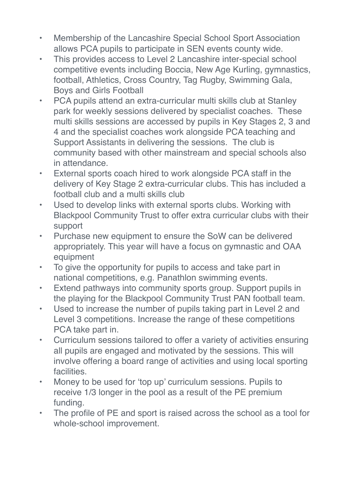- Membership of the Lancashire Special School Sport Association allows PCA pupils to participate in SEN events county wide.
- This provides access to Level 2 Lancashire inter-special school competitive events including Boccia, New Age Kurling, gymnastics, football, Athletics, Cross Country, Tag Rugby, Swimming Gala, Boys and Girls Football
- PCA pupils attend an extra-curricular multi skills club at Stanley park for weekly sessions delivered by specialist coaches. These multi skills sessions are accessed by pupils in Key Stages 2, 3 and 4 and the specialist coaches work alongside PCA teaching and Support Assistants in delivering the sessions. The club is community based with other mainstream and special schools also in attendance.
- External sports coach hired to work alongside PCA staff in the delivery of Key Stage 2 extra-curricular clubs. This has included a football club and a multi skills club
- Used to develop links with external sports clubs. Working with Blackpool Community Trust to offer extra curricular clubs with their support
- Purchase new equipment to ensure the SoW can be delivered appropriately. This year will have a focus on gymnastic and OAA equipment
- To give the opportunity for pupils to access and take part in national competitions, e.g. Panathlon swimming events.
- Extend pathways into community sports group. Support pupils in the playing for the Blackpool Community Trust PAN football team.
- Used to increase the number of pupils taking part in Level 2 and Level 3 competitions. Increase the range of these competitions PCA take part in.
- Curriculum sessions tailored to offer a variety of activities ensuring all pupils are engaged and motivated by the sessions. This will involve offering a board range of activities and using local sporting **facilities**
- Money to be used for 'top up' curriculum sessions. Pupils to receive 1/3 longer in the pool as a result of the PE premium funding.
- The profile of PE and sport is raised across the school as a tool for whole-school improvement.